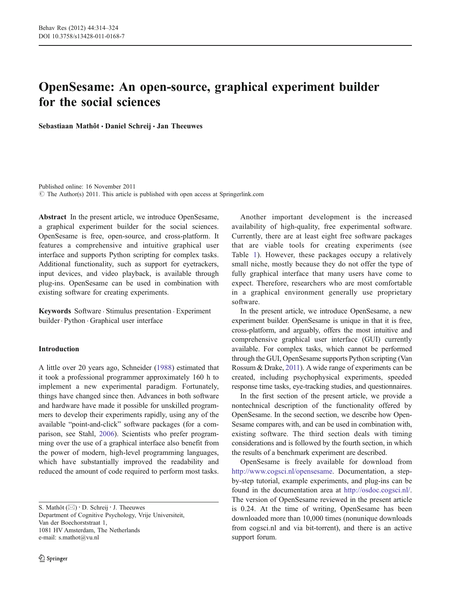# OpenSesame: An open-source, graphical experiment builder for the social sciences

Sebastiaan Mathôt · Daniel Schreij · Jan Theeuwes

Published online: 16 November 2011 © The Author(s) 2011. This article is published with open access at Springerlink.com

Abstract In the present article, we introduce OpenSesame, a graphical experiment builder for the social sciences. OpenSesame is free, open-source, and cross-platform. It features a comprehensive and intuitive graphical user interface and supports Python scripting for complex tasks. Additional functionality, such as support for eyetrackers, input devices, and video playback, is available through plug-ins. OpenSesame can be used in combination with existing software for creating experiments.

Keywords Software . Stimulus presentation . Experiment builder. Python . Graphical user interface

## Introduction

A little over 20 years ago, Schneider ([1988\)](#page-10-0) estimated that it took a professional programmer approximately 160 h to implement a new experimental paradigm. Fortunately, things have changed since then. Advances in both software and hardware have made it possible for unskilled programmers to develop their experiments rapidly, using any of the available "point-and-click" software packages (for a comparison, see Stahl, [2006](#page-10-0)). Scientists who prefer programming over the use of a graphical interface also benefit from the power of modern, high-level programming languages, which have substantially improved the readability and reduced the amount of code required to perform most tasks.

S. Mathôt  $(\boxtimes) \cdot$  D. Schreij  $\cdot$  J. Theeuwes Department of Cognitive Psychology, Vrije Universiteit, Van der Boechorststraat 1, 1081 HV Amsterdam, The Netherlands e-mail: s.mathot@vu.nl

Another important development is the increased availability of high-quality, free experimental software. Currently, there are at least eight free software packages that are viable tools for creating experiments (see Table [1\)](#page-1-0). However, these packages occupy a relatively small niche, mostly because they do not offer the type of fully graphical interface that many users have come to expect. Therefore, researchers who are most comfortable in a graphical environment generally use proprietary software.

In the present article, we introduce OpenSesame, a new experiment builder. OpenSesame is unique in that it is free, cross-platform, and arguably, offers the most intuitive and comprehensive graphical user interface (GUI) currently available. For complex tasks, which cannot be performed through the GUI, OpenSesame supports Python scripting (Van Rossum & Drake, [2011](#page-10-0)). A wide range of experiments can be created, including psychophysical experiments, speeded response time tasks, eye-tracking studies, and questionnaires.

In the first section of the present article, we provide a nontechnical description of the functionality offered by OpenSesame. In the second section, we describe how Open-Sesame compares with, and can be used in combination with, existing software. The third section deals with timing considerations and is followed by the fourth section, in which the results of a benchmark experiment are described.

OpenSesame is freely available for download from <http://www.cogsci.nl/opensesame>. Documentation, a stepby-step tutorial, example experiments, and plug-ins can be found in the documentation area at [http://osdoc.cogsci.nl/.](http://osdoc.cogsci.nl/) The version of OpenSesame reviewed in the present article is 0.24. At the time of writing, OpenSesame has been downloaded more than 10,000 times (nonunique downloads from cogsci.nl and via bit-torrent), and there is an active support forum.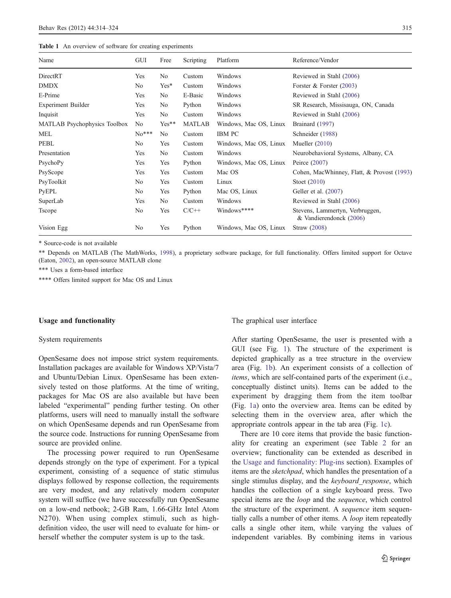<span id="page-1-0"></span>

|  |  |  |  |  |  |  | <b>Table 1</b> An overview of software for creating experiments |
|--|--|--|--|--|--|--|-----------------------------------------------------------------|
|--|--|--|--|--|--|--|-----------------------------------------------------------------|

| Name                         | GUI     | Free    | Scripting     | Platform               | Reference/Vendor                                           |  |  |
|------------------------------|---------|---------|---------------|------------------------|------------------------------------------------------------|--|--|
| DirectRT                     | Yes     | No      | Custom        | Windows                | Reviewed in Stahl (2006)                                   |  |  |
| <b>DMDX</b>                  | No      | Yes*    | Custom        | Windows                | Forster $&$ Forster (2003)                                 |  |  |
| E-Prime                      | Yes     | No      | E-Basic       | Windows                | Reviewed in Stahl (2006)                                   |  |  |
| <b>Experiment Builder</b>    | Yes     | No      | Python        | Windows                | SR Research, Missisauga, ON, Canada                        |  |  |
| Inquisit                     | Yes     | No      | Custom        | Windows                | Reviewed in Stahl (2006)                                   |  |  |
| MATLAB Psychophysics Toolbox | No.     | $Yes**$ | <b>MATLAB</b> | Windows, Mac OS, Linux | Brainard (1997)                                            |  |  |
| MEL                          | $No***$ | No      | Custom        | <b>IBM PC</b>          | Schneider (1988)                                           |  |  |
| PEBL                         | No      | Yes     | Custom        | Windows, Mac OS, Linux | Mueller $(2010)$                                           |  |  |
| Presentation                 | Yes     | No      | Custom        | Windows                | Neurobehavioral Systems, Albany, CA                        |  |  |
| PsychoPy                     | Yes     | Yes     | Python        | Windows, Mac OS, Linux | Peirce (2007)                                              |  |  |
| PsyScope                     | Yes     | Yes     | Custom        | Mac OS                 | Cohen, MacWhinney, Flatt, & Provost (1993)                 |  |  |
| PsyToolkit                   | No      | Yes     | Custom        | Linux                  | Stoet $(2010)$                                             |  |  |
| PyEPL                        | No      | Yes     | Python        | Mac OS, Linux          | Geller et al. (2007)                                       |  |  |
| SuperLab                     | Yes     | No      | Custom        | Windows                | Reviewed in Stahl (2006)                                   |  |  |
| <b>Tscope</b>                | No      | Yes     | $C/C++$       | Windows****            | Stevens, Lammertyn, Verbruggen,<br>& Vandierendonck (2006) |  |  |
| Vision Egg                   | No      | Yes     | Python        | Windows, Mac OS, Linux | Straw (2008)                                               |  |  |

\* Source-code is not available

\*\* Depends on MATLAB (The MathWorks, [1998](#page-10-0)), a proprietary software package, for full functionality. Offers limited support for Octave (Eaton, [2002](#page-9-0)), an open-source MATLAB clone

\*\*\* Uses a form-based interface

\*\*\*\* Offers limited support for Mac OS and Linux

## Usage and functionality

#### System requirements

OpenSesame does not impose strict system requirements. Installation packages are available for Windows XP/Vista/7 and Ubuntu/Debian Linux. OpenSesame has been extensively tested on those platforms. At the time of writing, packages for Mac OS are also available but have been labeled "experimental" pending further testing. On other platforms, users will need to manually install the software on which OpenSesame depends and run OpenSesame from the source code. Instructions for running OpenSesame from source are provided online.

The processing power required to run OpenSesame depends strongly on the type of experiment. For a typical experiment, consisting of a sequence of static stimulus displays followed by response collection, the requirements are very modest, and any relatively modern computer system will suffice (we have successfully run OpenSesame on a low-end netbook; 2-GB Ram, 1.66-GHz Intel Atom N270). When using complex stimuli, such as highdefinition video, the user will need to evaluate for him- or herself whether the computer system is up to the task.

The graphical user interface

After starting OpenSesame, the user is presented with a GUI (see Fig. [1](#page-2-0)). The structure of the experiment is depicted graphically as a tree structure in the overview area (Fig. [1b](#page-2-0)). An experiment consists of a collection of items, which are self-contained parts of the experiment (i.e., conceptually distinct units). Items can be added to the experiment by dragging them from the item toolbar (Fig. [1a\)](#page-2-0) onto the overview area. Items can be edited by selecting them in the overview area, after which the appropriate controls appear in the tab area (Fig. [1c\)](#page-2-0).

There are 10 core items that provide the basic functionality for creating an experiment (see Table [2](#page-3-0) for an overview; functionality can be extended as described in the Usage and functionality: Plug-ins section). Examples of items are the sketchpad, which handles the presentation of a single stimulus display, and the keyboard response, which handles the collection of a single keyboard press. Two special items are the *loop* and the *sequence*, which control the structure of the experiment. A sequence item sequentially calls a number of other items. A loop item repeatedly calls a single other item, while varying the values of independent variables. By combining items in various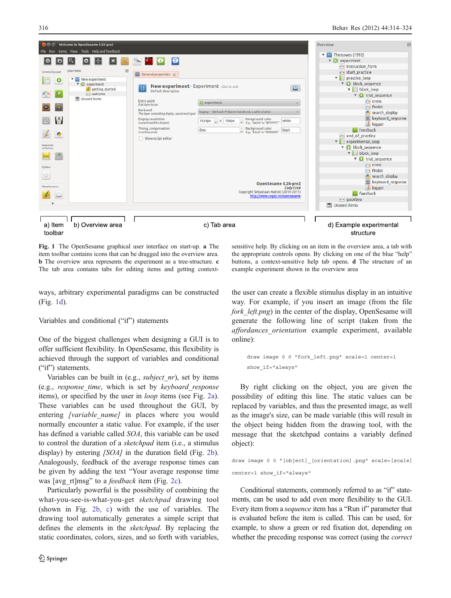<span id="page-2-0"></span>

Fig. 1 The OpenSesame graphical user interface on start-up. a The item toolbar contains icons that can be dragged into the overview area. b The overview area represents the experiment as a tree-structure. c The tab area contains tabs for editing items and getting context-

sensitive help. By clicking on an item in the overview area, a tab with the appropriate controls opens. By clicking on one of the blue "help" buttons, a context-sensitive help tab opens. d The structure of an example experiment shown in the overview area

ways, arbitrary experimental paradigms can be constructed (Fig. 1d).

Variables and conditional ("if") statements

One of the biggest challenges when designing a GUI is to offer sufficient flexibility. In OpenSesame, this flexibility is achieved through the support of variables and conditional ("if") statements.

Variables can be built in (e.g., *subject nr*), set by items (e.g., response time, which is set by keyboard response items), or specified by the user in loop items (see Fig. [2a](#page-3-0)). These variables can be used throughout the GUI, by entering [variable\_name] in places where you would normally encounter a static value. For example, if the user has defined a variable called SOA, this variable can be used to control the duration of a sketchpad item (i.e., a stimulus display) by entering [SOA] in the duration field (Fig. [2b](#page-3-0)). Analogously, feedback of the average response times can be given by adding the text "Your average response time was [avg\_rt]msg" to a *feedback* item (Fig. [2c](#page-3-0)).

Particularly powerful is the possibility of combining the what-you-see-is-what-you-get sketchpad drawing tool (shown in Fig. [2b, c\)](#page-3-0) with the use of variables. The drawing tool automatically generates a simple script that defines the elements in the sketchpad. By replacing the static coordinates, colors, sizes, and so forth with variables,

the user can create a flexible stimulus display in an intuitive way. For example, if you insert an image (from the file fork left.png) in the center of the display, OpenSesame will generate the following line of script (taken from the affordances orientation example experiment, available online):

draw image 0 0 "fork\_left.png" scale=1 center=1 show\_if="always"

By right clicking on the object, you are given the possibility of editing this line. The static values can be replaced by variables, and thus the presented image, as well as the image's size, can be made variable (this will result in the object being hidden from the drawing tool, with the message that the sketchpad contains a variably defined object):

```
draw image 0 0 "[object]_[orientation].png" scale=[scale]
center=1 show_if="always"
```
Conditional statements, commonly referred to as "if" statements, can be used to add even more flexibility to the GUI. Every item from a sequence item has a "Run if" parameter that is evaluated before the item is called. This can be used, for example, to show a green or red fixation dot, depending on whether the preceding response was correct (using the correct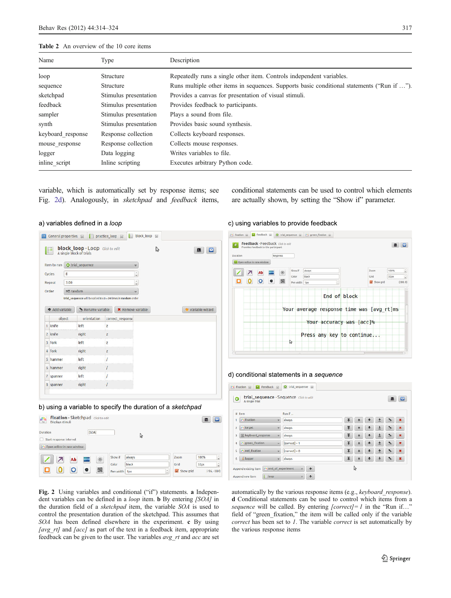## <span id="page-3-0"></span>Table 2 An overview of the 10 core items

| Name              | Type                  | Description                                                                                |
|-------------------|-----------------------|--------------------------------------------------------------------------------------------|
| loop              | Structure             | Repeatedly runs a single other item. Controls independent variables.                       |
| sequence          | Structure             | Runs multiple other items in sequences. Supports basic conditional statements ("Run if "). |
| sketchpad         | Stimulus presentation | Provides a canvas for presentation of visual stimuli.                                      |
| feedback          | Stimulus presentation | Provides feedback to participants.                                                         |
| sampler           | Stimulus presentation | Plays a sound from file.                                                                   |
| synth             | Stimulus presentation | Provides basic sound synthesis.                                                            |
| keyboard response | Response collection   | Collects keyboard responses.                                                               |
| mouse response    | Response collection   | Collects mouse responses.                                                                  |
| logger            | Data logging          | Writes variables to file.                                                                  |
| inline_script     | Inline scripting      | Executes arbitrary Python code.                                                            |

variable, which is automatically set by response items; see Fig. 2d). Analogously, in sketchpad and feedback items,

conditional statements can be used to control which elements are actually shown, by setting the "Show if" parameter.

a) variables defined in a loop







Fig. 2 Using variables and conditional ("if") statements. a Independent variables can be defined in a *loop* item. **b** By entering [SOA] in the duration field of a sketchpad item, the variable SOA is used to control the presentation duration of the sketchpad. This assumes that SOA has been defined elsewhere in the experiment. c By using [ $avg$  rt] and [ $acc$ ] as part of the text in a feedback item, appropriate feedback can be given to the user. The variables  $avg\_rt$  and  $acc$  are set

#### c) using variables to provide feedback



#### d) conditional statements in a sequence

| o<br>A single trial     | trial_sequence - Sequence click to edit     |                   |  |    |               |                |
|-------------------------|---------------------------------------------|-------------------|--|----|---------------|----------------|
| # Rem                   | Run if                                      |                   |  |    |               |                |
| $\vert \wedge$ fixation | always                                      |                   |  | 土  |               | $\mathbf{x}$   |
| 2 A Larget              | always<br>٠                                 | 革                 |  | 土  | $\rightarrow$ | $\mathbf{x}$   |
| 3   R keyboard_response | always<br>٠                                 | 주                 |  | 土  | $\mathcal{F}$ | $\pmb{\times}$ |
| 4   S green fixation    | $[correct] = 1$<br>$\overline{\phantom{a}}$ | Ŧ                 |  | 土  | $\mathcal{L}$ | $\mathbf{x}$   |
| 5   C red_fixation      | $[correct] = 0$<br>٠                        | 革                 |  | 主  | $\rightarrow$ | $\mathbf{x}$   |
| 6 J. Logger             | always<br>$\mathbf{v}$                      | $\overline{\Phi}$ |  | ÷. | $\mathcal{F}$ | $\mathbf{x}$   |

automatically by the various response items (e.g., keyboard\_response). d Conditional statements can be used to control which items from a sequence will be called. By entering  $[correct] = 1$  in the "Run if..." field of "green\_fixation," the item will be called only if the variable correct has been set to 1. The variable correct is set automatically by the various response items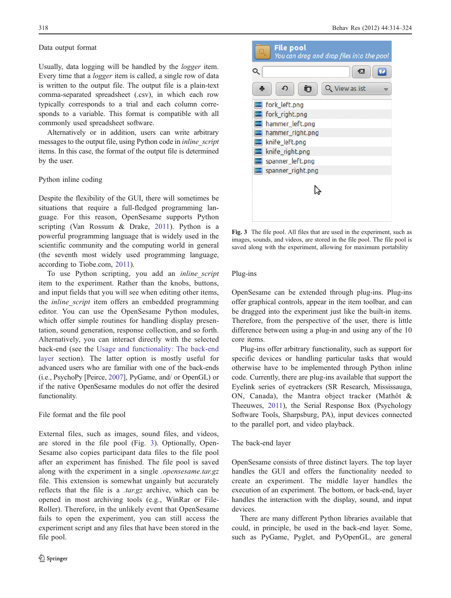## Data output format

Usually, data logging will be handled by the logger item. Every time that a logger item is called, a single row of data is written to the output file. The output file is a plain-text comma-separated spreadsheet (.csv), in which each row typically corresponds to a trial and each column corresponds to a variable. This format is compatible with all commonly used spreadsheet software.

Alternatively or in addition, users can write arbitrary messages to the output file, using Python code in *inline* script items. In this case, the format of the output file is determined by the user.

## Python inline coding

Despite the flexibility of the GUI, there will sometimes be situations that require a full-fledged programming language. For this reason, OpenSesame supports Python scripting (Van Rossum & Drake, [2011](#page-10-0)). Python is a powerful programming language that is widely used in the scientific community and the computing world in general (the seventh most widely used programming language, according to Tiobe.com, [2011](#page-10-0)).

To use Python scripting, you add an *inline script* item to the experiment. Rather than the knobs, buttons, and input fields that you will see when editing other items, the *inline script* item offers an embedded programming editor. You can use the OpenSesame Python modules, which offer simple routines for handling display presentation, sound generation, response collection, and so forth. Alternatively, you can interact directly with the selected back-end (see the [Usage and functionality: The back-end](#page-1-0) [layer](#page-1-0) section). The latter option is mostly useful for advanced users who are familiar with one of the back-ends (i.e., PsychoPy [Peirce, [2007\]](#page-10-0), PyGame, and/ or OpenGL) or if the native OpenSesame modules do not offer the desired functionality.

File format and the file pool

External files, such as images, sound files, and videos, are stored in the file pool (Fig. 3). Optionally, Open-Sesame also copies participant data files to the file pool after an experiment has finished. The file pool is saved along with the experiment in a single .opensesame.tar.gz file. This extension is somewhat ungainly but accurately reflects that the file is a .tar.gz archive, which can be opened in most archiving tools (e.g., WinRar or File-Roller). Therefore, in the unlikely event that OpenSesame fails to open the experiment, you can still access the experiment script and any files that have been stored in the file pool.



Fig. 3 The file pool. All files that are used in the experiment, such as images, sounds, and videos, are stored in the file pool. The file pool is saved along with the experiment, allowing for maximum portability

#### Plug-ins

OpenSesame can be extended through plug-ins. Plug-ins offer graphical controls, appear in the item toolbar, and can be dragged into the experiment just like the built-in items. Therefore, from the perspective of the user, there is little difference between using a plug-in and using any of the 10 core items.

Plug-ins offer arbitrary functionality, such as support for specific devices or handling particular tasks that would otherwise have to be implemented through Python inline code. Currently, there are plug-ins available that support the Eyelink series of eyetrackers (SR Research, Mississauga, ON, Canada), the Mantra object tracker (Mathôt & Theeuwes, [2011\)](#page-10-0), the Serial Response Box (Psychology Software Tools, Sharpsburg, PA), input devices connected to the parallel port, and video playback.

#### The back-end layer

OpenSesame consists of three distinct layers. The top layer handles the GUI and offers the functionality needed to create an experiment. The middle layer handles the execution of an experiment. The bottom, or back-end, layer handles the interaction with the display, sound, and input devices.

There are many different Python libraries available that could, in principle, be used in the back-end layer. Some, such as PyGame, Pyglet, and PyOpenGL, are general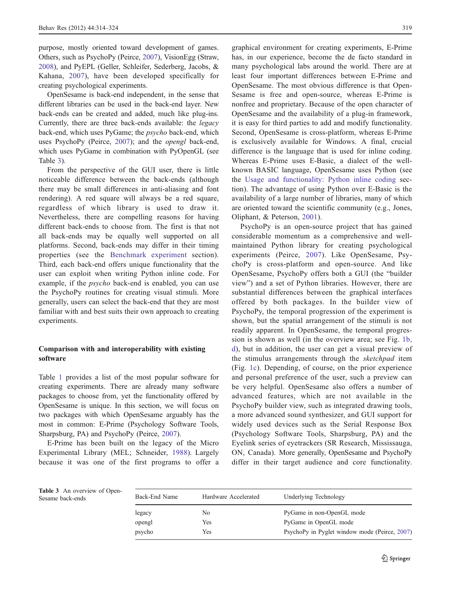purpose, mostly oriented toward development of games. Others, such as PsychoPy (Peirce, [2007](#page-10-0)), VisionEgg (Straw, [2008\)](#page-10-0), and PyEPL (Geller, Schleifer, Sederberg, Jacobs, & Kahana, [2007\)](#page-9-0), have been developed specifically for creating psychological experiments.

OpenSesame is back-end independent, in the sense that different libraries can be used in the back-end layer. New back-ends can be created and added, much like plug-ins. Currently, there are three back-ends available: the legacy back-end, which uses PyGame; the psycho back-end, which uses PsychoPy (Peirce, [2007\)](#page-10-0); and the opengl back-end, which uses PyGame in combination with PyOpenGL (see Table 3).

From the perspective of the GUI user, there is little noticeable difference between the back-ends (although there may be small differences in anti-aliasing and font rendering). A red square will always be a red square, regardless of which library is used to draw it. Nevertheless, there are compelling reasons for having different back-ends to choose from. The first is that not all back-ends may be equally well supported on all platforms. Second, back-ends may differ in their timing properties (see the [Benchmark experiment](#page-7-0) section). Third, each back-end offers unique functionality that the user can exploit when writing Python inline code. For example, if the psycho back-end is enabled, you can use the PsychoPy routines for creating visual stimuli. More generally, users can select the back-end that they are most familiar with and best suits their own approach to creating experiments.

# Comparison with and interoperability with existing software

Table [1](#page-1-0) provides a list of the most popular software for creating experiments. There are already many software packages to choose from, yet the functionality offered by OpenSesame is unique. In this section, we will focus on two packages with which OpenSesame arguably has the most in common: E-Prime (Psychology Software Tools, Sharpsburg, PA) and PsychoPy (Peirce, [2007\)](#page-10-0).

E-Prime has been built on the legacy of the Micro Experimental Library (MEL; Schneider, [1988\)](#page-10-0). Largely because it was one of the first programs to offer a graphical environment for creating experiments, E-Prime has, in our experience, become the de facto standard in many psychological labs around the world. There are at least four important differences between E-Prime and OpenSesame. The most obvious difference is that Open-Sesame is free and open-source, whereas E-Prime is nonfree and proprietary. Because of the open character of OpenSesame and the availability of a plug-in framework, it is easy for third parties to add and modify functionality. Second, OpenSesame is cross-platform, whereas E-Prime is exclusively available for Windows. A final, crucial difference is the language that is used for inline coding. Whereas E-Prime uses E-Basic, a dialect of the wellknown BASIC language, OpenSesame uses Python (see the [Usage and functionality: Python inline coding](#page-1-0) section). The advantage of using Python over E-Basic is the availability of a large number of libraries, many of which are oriented toward the scientific community (e.g., Jones, Oliphant, & Peterson, [2001\)](#page-10-0).

PsychoPy is an open-source project that has gained considerable momentum as a comprehensive and wellmaintained Python library for creating psychological experiments (Peirce, [2007](#page-10-0)). Like OpenSesame, PsychoPy is cross-platform and open-source. And like OpenSesame, PsychoPy offers both a GUI (the "builder view") and a set of Python libraries. However, there are substantial differences between the graphical interfaces offered by both packages. In the builder view of PsychoPy, the temporal progression of the experiment is shown, but the spatial arrangement of the stimuli is not readily apparent. In OpenSesame, the temporal progression is shown as well (in the overview area; see Fig. [1b,](#page-2-0) [d](#page-2-0)), but in addition, the user can get a visual preview of the stimulus arrangements through the sketchpad item (Fig. [1c](#page-2-0)). Depending, of course, on the prior experience and personal preference of the user, such a preview can be very helpful. OpenSesame also offers a number of advanced features, which are not available in the PsychoPy builder view, such as integrated drawing tools, a more advanced sound synthesizer, and GUI support for widely used devices such as the Serial Response Box (Psychology Software Tools, Sharpsburg, PA) and the Eyelink series of eyetrackers (SR Research, Mississauga, ON, Canada). More generally, OpenSesame and PsychoPy differ in their target audience and core functionality.

| <b>Table 3</b> An overview of Open- |
|-------------------------------------|
| Sesame back-ends                    |

| <b>Table 3</b> An overview of Open-<br>Back-End Name<br>Sesame back-ends | Underlying Technology                         |  |  |  |
|--------------------------------------------------------------------------|-----------------------------------------------|--|--|--|
| legacy                                                                   | PyGame in non-OpenGL mode                     |  |  |  |
| opengl                                                                   | PyGame in OpenGL mode                         |  |  |  |
| psycho                                                                   | PsychoPy in Pyglet window mode (Peirce, 2007) |  |  |  |
|                                                                          |                                               |  |  |  |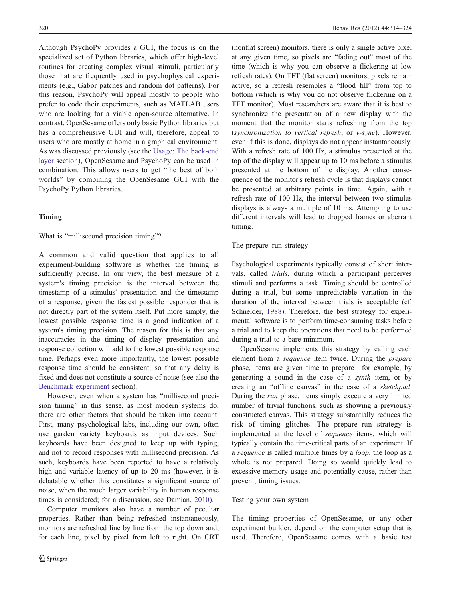<span id="page-6-0"></span>Although PsychoPy provides a GUI, the focus is on the specialized set of Python libraries, which offer high-level routines for creating complex visual stimuli, particularly those that are frequently used in psychophysical experiments (e.g., Gabor patches and random dot patterns). For this reason, PsychoPy will appeal mostly to people who prefer to code their experiments, such as MATLAB users who are looking for a viable open-source alternative. In contrast, OpenSesame offers only basic Python libraries but has a comprehensive GUI and will, therefore, appeal to users who are mostly at home in a graphical environment. As was discussed previously (see the [Usage: The back-end](#page-1-0) [layer](#page-1-0) section), OpenSesame and PsychoPy can be used in combination. This allows users to get "the best of both worlds" by combining the OpenSesame GUI with the PsychoPy Python libraries.

# Timing

## What is "millisecond precision timing"?

A common and valid question that applies to all experiment-building software is whether the timing is sufficiently precise. In our view, the best measure of a system's timing precision is the interval between the timestamp of a stimulus' presentation and the timestamp of a response, given the fastest possible responder that is not directly part of the system itself. Put more simply, the lowest possible response time is a good indication of a system's timing precision. The reason for this is that any inaccuracies in the timing of display presentation and response collection will add to the lowest possible response time. Perhaps even more importantly, the lowest possible response time should be consistent, so that any delay is fixed and does not constitute a source of noise (see also the [Benchmark experiment](#page-7-0) section).

However, even when a system has "millisecond precision timing" in this sense, as most modern systems do, there are other factors that should be taken into account. First, many psychological labs, including our own, often use garden variety keyboards as input devices. Such keyboards have been designed to keep up with typing, and not to record responses with millisecond precision. As such, keyboards have been reported to have a relatively high and variable latency of up to 20 ms (however, it is debatable whether this constitutes a significant source of noise, when the much larger variability in human response times is considered; for a discussion, see Damian, [2010\)](#page-9-0).

Computer monitors also have a number of peculiar properties. Rather than being refreshed instantaneously, monitors are refreshed line by line from the top down and, for each line, pixel by pixel from left to right. On CRT

(nonflat screen) monitors, there is only a single active pixel at any given time, so pixels are "fading out" most of the time (which is why you can observe a flickering at low refresh rates). On TFT (flat screen) monitors, pixels remain active, so a refresh resembles a "flood fill" from top to bottom (which is why you do not observe flickering on a TFT monitor). Most researchers are aware that it is best to synchronize the presentation of a new display with the moment that the monitor starts refreshing from the top (synchronization to vertical refresh, or v-sync). However, even if this is done, displays do not appear instantaneously. With a refresh rate of 100 Hz, a stimulus presented at the top of the display will appear up to 10 ms before a stimulus presented at the bottom of the display. Another consequence of the monitor's refresh cycle is that displays cannot be presented at arbitrary points in time. Again, with a refresh rate of 100 Hz, the interval between two stimulus displays is always a multiple of 10 ms. Attempting to use different intervals will lead to dropped frames or aberrant timing.

#### The prepare–run strategy

Psychological experiments typically consist of short intervals, called trials, during which a participant perceives stimuli and performs a task. Timing should be controlled during a trial, but some unpredictable variation in the duration of the interval between trials is acceptable (cf. Schneider, [1988](#page-10-0)). Therefore, the best strategy for experimental software is to perform time-consuming tasks before a trial and to keep the operations that need to be performed during a trial to a bare minimum.

OpenSesame implements this strategy by calling each element from a sequence item twice. During the prepare phase, items are given time to prepare—for example, by generating a sound in the case of a synth item, or by creating an "offline canvas" in the case of a sketchpad. During the run phase, items simply execute a very limited number of trivial functions, such as showing a previously constructed canvas. This strategy substantially reduces the risk of timing glitches. The prepare–run strategy is implemented at the level of sequence items, which will typically contain the time-critical parts of an experiment. If a sequence is called multiple times by a loop, the loop as a whole is not prepared. Doing so would quickly lead to excessive memory usage and potentially cause, rather than prevent, timing issues.

#### Testing your own system

The timing properties of OpenSesame, or any other experiment builder, depend on the computer setup that is used. Therefore, OpenSesame comes with a basic test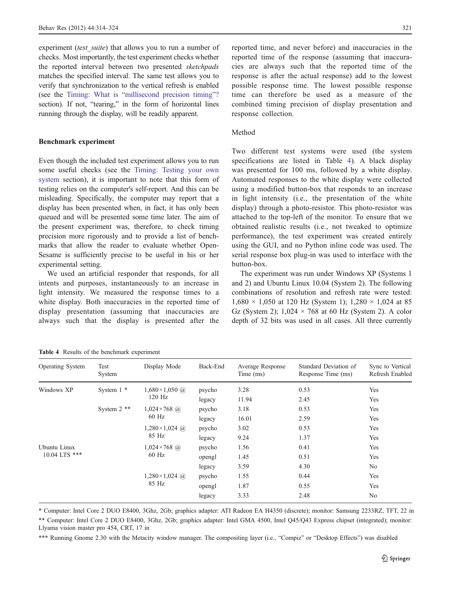<span id="page-7-0"></span>experiment *(test suite)* that allows you to run a number of checks. Most importantly, the test experiment checks whether the reported interval between two presented sketchpads matches the specified interval. The same test allows you to verify that synchronization to the vertical refresh is enabled (see the Timing: What is "[millisecond precision timing](#page-6-0)"? section). If not, "tearing," in the form of horizontal lines running through the display, will be readily apparent.

#### Benchmark experiment

Even though the included test experiment allows you to run some useful checks (see the [Timing: Testing your own](#page-6-0) [system](#page-6-0) section), it is important to note that this form of testing relies on the computer's self-report. And this can be misleading. Specifically, the computer may report that a display has been presented when, in fact, it has only been queued and will be presented some time later. The aim of the present experiment was, therefore, to check timing precision more rigorously and to provide a list of benchmarks that allow the reader to evaluate whether Open-Sesame is sufficiently precise to be useful in his or her experimental setting.

We used an artificial responder that responds, for all intents and purposes, instantaneously to an increase in light intensity. We measured the response times to a white display. Both inaccuracies in the reported time of display presentation (assuming that inaccuracies are always such that the display is presented after the

reported time, and never before) and inaccuracies in the reported time of the response (assuming that inaccuracies are always such that the reported time of the response is after the actual response) add to the lowest possible response time. The lowest possible response time can therefore be used as a measure of the combined timing precision of display presentation and response collection.

## Method

Two different test systems were used (the system specifications are listed in Table 4). A black display was presented for 100 ms, followed by a white display. Automated responses to the white display were collected using a modified button-box that responds to an increase in light intensity (i.e., the presentation of the white display) through a photo-resistor. This photo-resistor was attached to the top-left of the monitor. To ensure that we obtained realistic results (i.e., not tweaked to optimize performance), the test experiment was created entirely using the GUI, and no Python inline code was used. The serial response box plug-in was used to interface with the button-box.

The experiment was run under Windows XP (Systems 1 and 2) and Ubuntu Linux 10.04 (System 2). The following combinations of resolution and refresh rate were tested:  $1,680 \times 1,050$  at 120 Hz (System 1);  $1,280 \times 1,024$  at 85 Gz (System 2);  $1,024 \times 768$  at 60 Hz (System 2). A color depth of 32 bits was used in all cases. All three currently

Table 4 Results of the benchmark experiment

| Operating System              | Test<br>System | Display Mode                                     | Back-End | Average Response<br>Time (ms) | Standard Deviation of<br>Response Time (ms) | Sync to Vertical<br>Refresh Enabled |
|-------------------------------|----------------|--------------------------------------------------|----------|-------------------------------|---------------------------------------------|-------------------------------------|
| Windows XP                    | System $1$ *   | $1,680 \times 1,050 \; \omega$                   | psycho   | 3.28                          | 0.53                                        | Yes                                 |
|                               |                | $120$ Hz                                         | legacy   | 11.94                         | 2.45                                        | Yes                                 |
|                               | System $2$ **  | $1,024 \times 768$ (a)                           | psycho   | 3.18                          | 0.53                                        | Yes                                 |
|                               |                | $60$ Hz                                          | legacy   | 16.01                         | 2.59                                        | Yes                                 |
|                               |                | $1,280 \times 1,024 \; \textcircled{a}$<br>85 Hz | psycho   | 3.02                          | 0.53                                        | Yes                                 |
|                               |                |                                                  | legacy   | 9.24                          | 1.37                                        | Yes                                 |
| Ubuntu Linux<br>10.04 LTS *** |                | $1,024 \times 768$ (a)                           | psycho   | 1.56                          | 0.41                                        | Yes                                 |
|                               |                | $60$ Hz                                          | opengl   | 1.45                          | 0.51                                        | Yes                                 |
|                               |                |                                                  | legacy   | 3.59                          | 4.30                                        | No                                  |
|                               |                | $1,280 \times 1,024 \; \omega$<br>85 Hz          | psycho   | 1.55                          | 0.44                                        | Yes                                 |
|                               |                |                                                  | opengl   | 1.87                          | 0.55                                        | Yes                                 |
|                               |                |                                                  | legacy   | 3.33                          | 2.48                                        | No                                  |
|                               |                |                                                  |          |                               |                                             |                                     |

\* Computer: Intel Core 2 DUO E8400, 3Ghz, 2Gb; graphics adapter: ATI Radeon EA H4350 (discrete); monitor: Samsung 2233RZ, TFT, 22 in

\*\* Computer: Intel Core 2 DUO E8400, 3Ghz, 2Gb; graphics adapter: Intel GMA 4500, Intel Q45/Q43 Express chipset (integrated); monitor: Llyama vision master pro 454, CRT, 17 in

\*\*\* Running Gnome 2.30 with the Metacity window manager. The compositing layer (i.e., "Compiz" or "Desktop Effects") was disabled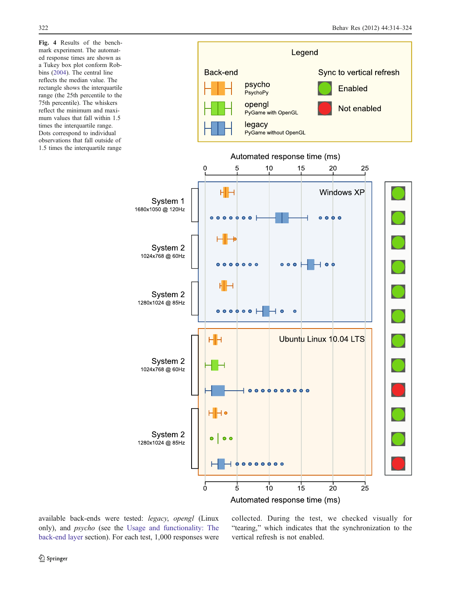<span id="page-8-0"></span>Fig. 4 Results of the benchmark experiment. The automated response times are shown as a Tukey box plot conform Robbins ([2004\)](#page-10-0). The central line reflects the median value. The rectangle shows the interquartile range (the 25th percentile to the 75th percentile). The whiskers reflect the minimum and maximum values that fall within 1.5 times the interquartile range. Dots correspond to individual observations that fall outside of 1.5 times the interquartile range



available back-ends were tested: legacy, opengl (Linux only), and psycho (see the [Usage and functionality: The](#page-1-0) [back-end layer](#page-1-0) section). For each test, 1,000 responses were collected. During the test, we checked visually for "tearing," which indicates that the synchronization to the vertical refresh is not enabled.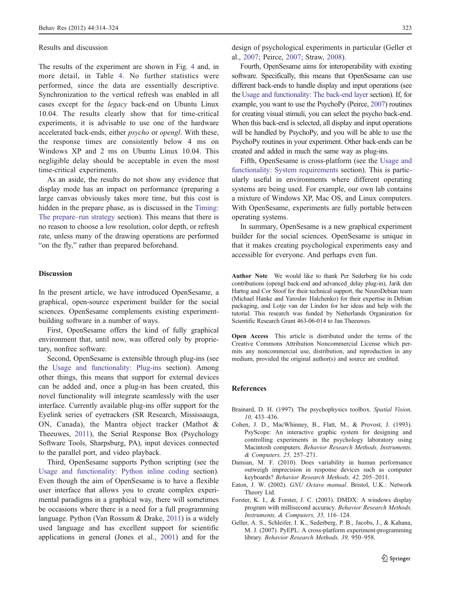#### <span id="page-9-0"></span>Results and discussion

The results of the experiment are shown in Fig. [4](#page-8-0) and, in more detail, in Table [4.](#page-7-0) No further statistics were performed, since the data are essentially descriptive. Synchronization to the vertical refresh was enabled in all cases except for the legacy back-end on Ubuntu Linux 10.04. The results clearly show that for time-critical experiments, it is advisable to use one of the hardware accelerated back-ends, either psycho or opengl. With these, the response times are consistently below 4 ms on Windows XP and 2 ms on Ubuntu Linux 10.04. This negligible delay should be acceptable in even the most time-critical experiments.

As an aside, the results do not show any evidence that display mode has an impact on performance (preparing a large canvas obviously takes more time, but this cost is hidden in the prepare phase, as is discussed in the [Timing:](#page-6-0) [The prepare](#page-6-0)–run strategy section). This means that there is no reason to choose a low resolution, color depth, or refresh rate, unless many of the drawing operations are performed "on the fly," rather than prepared beforehand.

## Discussion

In the present article, we have introduced OpenSesame, a graphical, open-source experiment builder for the social sciences. OpenSesame complements existing experimentbuilding software in a number of ways.

First, OpenSesame offers the kind of fully graphical environment that, until now, was offered only by proprietary, nonfree software.

Second, OpenSesame is extensible through plug-ins (see the [Usage and functionality: Plug-ins](#page-1-0) section). Among other things, this means that support for external devices can be added and, once a plug-in has been created, this novel functionality will integrate seamlessly with the user interface. Currently available plug-ins offer support for the Eyelink series of eyetrackers (SR Research, Mississauga, ON, Canada), the Mantra object tracker (Mathot & Theeuwes, [2011](#page-10-0)), the Serial Response Box (Psychology Software Tools, Sharpsburg, PA), input devices connected to the parallel port, and video playback.

Third, OpenSesame supports Python scripting (see the [Usage and functionality: Python inline coding](#page-1-0) section). Even though the aim of OpenSesame is to have a flexible user interface that allows you to create complex experimental paradigms in a graphical way, there will sometimes be occasions where there is a need for a full programming language. Python (Van Rossum & Drake, [2011](#page-10-0)) is a widely used language and has excellent support for scientific applications in general (Jones et al., [2001\)](#page-10-0) and for the design of psychological experiments in particular (Geller et al., 2007; Peirce, [2007;](#page-10-0) Straw, [2008\)](#page-10-0).

Fourth, OpenSesame aims for interoperability with existing software. Specifically, this means that OpenSesame can use different back-ends to handle display and input operations (see the [Usage and functionality: The back-end layer](#page-1-0) section). If, for example, you want to use the PsychoPy (Peirce, [2007\)](#page-10-0) routines for creating visual stimuli, you can select the psycho back-end. When this back-end is selected, all display and input operations will be handled by PsychoPy, and you will be able to use the PsychoPy routines in your experiment. Other back-ends can be created and added in much the same way as plug-ins.

Fifth, OpenSesame is cross-platform (see the [Usage and](#page-1-0) [functionality: System requirements](#page-1-0) section). This is particularly useful in environments where different operating systems are being used. For example, our own lab contains a mixture of Windows XP, Mac OS, and Linux computers. With OpenSesame, experiments are fully portable between operating systems.

In summary, OpenSesame is a new graphical experiment builder for the social sciences. OpenSesame is unique in that it makes creating psychological experiments easy and accessible for everyone. And perhaps even fun.

Author Note We would like to thank Per Sederberg for his code contributions (opengl back-end and advanced\_delay plug-in), Jarik den Hartog and Cor Stoof for their technical support, the NeuroDebian team (Michael Hanke and Yaroslav Halchenko) for their expertise in Debian packaging, and Lotje van der Linden for her ideas and help with the tutorial. This research was funded by Netherlands Organization for Scientific Research Grant 463-06-014 to Jan Theeuwes.

Open Access This article is distributed under the terms of the Creative Commons Attribution Noncommercial License which permits any noncommercial use, distribution, and reproduction in any medium, provided the original author(s) and source are credited.

## References

- Brainard, D. H. (1997). The psychophysics toolbox. Spatial Vision, 10, 433–436.
- Cohen, J. D., MacWhinney, B., Flatt, M., & Provost, J. (1993). PsyScope: An interactive graphic system for designing and controlling experiments in the psychology laboratory using Macintosh computers. Behavior Research Methods, Instruments, & Computers, 25, 257–271.
- Damian, M. F. (2010). Does variability in human performance outweigh imprecision in response devices such as computer keyboards? Behavior Research Methods, 42, 205–2011.
- Eaton, J. W. (2002). GNU Octave manual. Bristol, U.K.: Network Theory Ltd.
- Forster, K. I., & Forster, J. C. (2003). DMDX: A windows display program with millisecond accuracy. Behavior Research Methods, Instruments, & Computers, 35, 116–124.
- Geller, A. S., Schleifer, I. K., Sederberg, P. B., Jacobs, J., & Kahana, M. J. (2007). PyEPL: A cross-platform experiment-programming library. Behavior Research Methods, 39, 950–958.